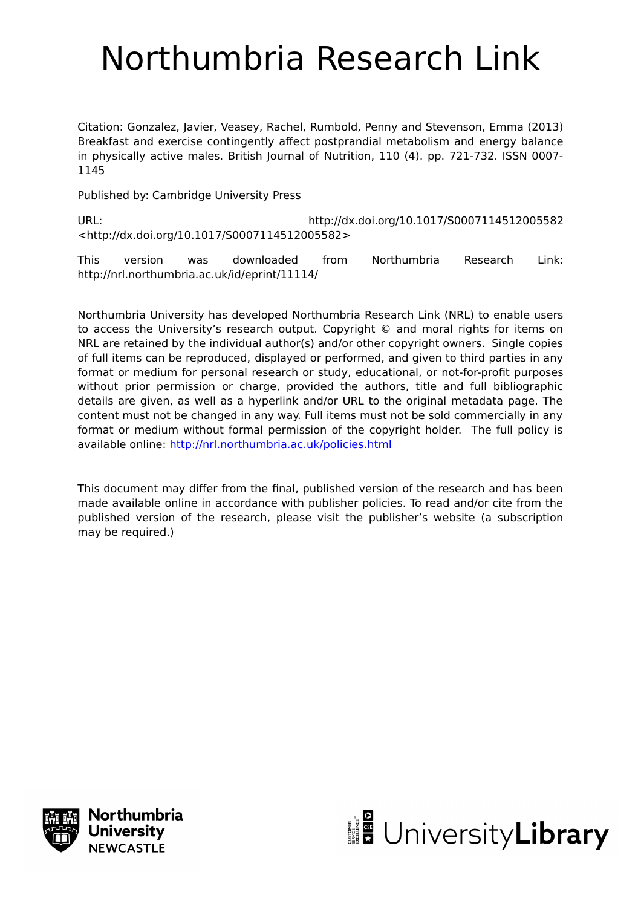# Northumbria Research Link

Citation: Gonzalez, Javier, Veasey, Rachel, Rumbold, Penny and Stevenson, Emma (2013) Breakfast and exercise contingently affect postprandial metabolism and energy balance in physically active males. British Journal of Nutrition, 110 (4). pp. 721-732. ISSN 0007- 1145

Published by: Cambridge University Press

URL: http://dx.doi.org/10.1017/S0007114512005582 <http://dx.doi.org/10.1017/S0007114512005582>

This version was downloaded from Northumbria Research Link: http://nrl.northumbria.ac.uk/id/eprint/11114/

Northumbria University has developed Northumbria Research Link (NRL) to enable users to access the University's research output. Copyright © and moral rights for items on NRL are retained by the individual author(s) and/or other copyright owners. Single copies of full items can be reproduced, displayed or performed, and given to third parties in any format or medium for personal research or study, educational, or not-for-profit purposes without prior permission or charge, provided the authors, title and full bibliographic details are given, as well as a hyperlink and/or URL to the original metadata page. The content must not be changed in any way. Full items must not be sold commercially in any format or medium without formal permission of the copyright holder. The full policy is available online:<http://nrl.northumbria.ac.uk/policies.html>

This document may differ from the final, published version of the research and has been made available online in accordance with publisher policies. To read and/or cite from the published version of the research, please visit the publisher's website (a subscription may be required.)



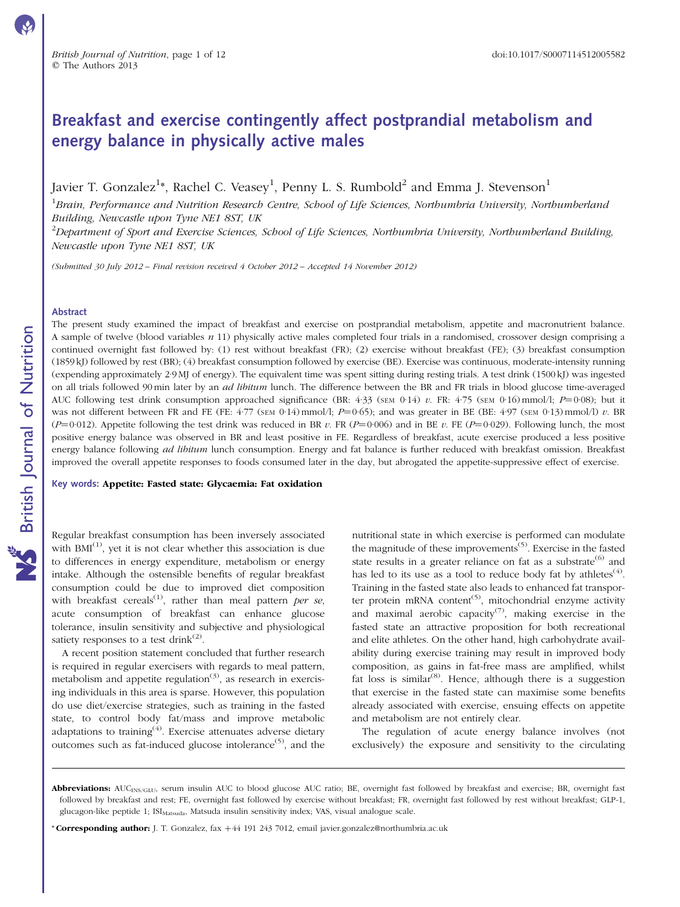## Breakfast and exercise contingently affect postprandial metabolism and energy balance in physically active males

Javier T. Gonzalez $^{1*}$ , Rachel C. Veasey $^{1}$ , Penny L. S. Rumbold $^{2}$  and Emma J. Stevenson $^{1}$ 

 ${}^{1}$ Brain, Performance and Nutrition Research Centre, School of Life Sciences, Northumbria University, Northumberland Building, Newcastle upon Tyne NE1 8ST, UK

 $^2$ Department of Sport and Exercise Sciences, School of Life Sciences, Northumbria University, Northumberland Building, Newcastle upon Tyne NE1 8ST, UK

(Submitted 30 July 2012 – Final revision received 4 October 2012 – Accepted 14 November 2012)

#### Abstract

The present study examined the impact of breakfast and exercise on postprandial metabolism, appetite and macronutrient balance. A sample of twelve (blood variables  $n 11$ ) physically active males completed four trials in a randomised, crossover design comprising a continued overnight fast followed by: (1) rest without breakfast (FR); (2) exercise without breakfast (FE); (3) breakfast consumption (1859 kJ) followed by rest (BR); (4) breakfast consumption followed by exercise (BE). Exercise was continuous, moderate-intensity running (expending approximately 2·9 MJ of energy). The equivalent time was spent sitting during resting trials. A test drink (1500 kJ) was ingested on all trials followed 90 min later by an *ad libitum* lunch. The difference between the BR and FR trials in blood glucose time-averaged AUC following test drink consumption approached significance (BR:  $4·33$  (SEM 0·14) v. FR:  $4·75$  (SEM 0·16) mmol/l;  $P=0·08$ ); but it was not different between FR and FE (FE:  $4.77$  (SEM 0.14) mmol/l;  $P=0.65$ ); and was greater in BE (BE:  $4.97$  (SEM 0.13) mmol/l) v. BR (P=0.012). Appetite following the test drink was reduced in BR v. FR (P=0.006) and in BE v. FE (P=0.029). Following lunch, the most positive energy balance was observed in BR and least positive in FE. Regardless of breakfast, acute exercise produced a less positive energy balance following *ad libitum* lunch consumption. Energy and fat balance is further reduced with breakfast omission. Breakfast improved the overall appetite responses to foods consumed later in the day, but abrogated the appetite-suppressive effect of exercise.

Key words: Appetite: Fasted state: Glycaemia: Fat oxidation

Regular breakfast consumption has been inversely associated with  $BMI^{(1)}$ , yet it is not clear whether this association is due to differences in energy expenditure, metabolism or energy intake. Although the ostensible benefits of regular breakfast consumption could be due to improved diet composition with breakfast cereals<sup>(1)</sup>, rather than meal pattern per se, acute consumption of breakfast can enhance glucose tolerance, insulin sensitivity and subjective and physiological satiety responses to a test drink $^{(2)}$ .

A recent position statement concluded that further research is required in regular exercisers with regards to meal pattern, metabolism and appetite regulation<sup> $(3)$ </sup>, as research in exercising individuals in this area is sparse. However, this population do use diet/exercise strategies, such as training in the fasted state, to control body fat/mass and improve metabolic adaptations to training<sup>(4)</sup>. Exercise attenuates adverse dietary outcomes such as fat-induced glucose intolerance<sup> $(5)$ </sup>, and the

nutritional state in which exercise is performed can modulate the magnitude of these improvements<sup> $(5)$ </sup>. Exercise in the fasted state results in a greater reliance on fat as a substrate<sup>(6)</sup> and has led to its use as a tool to reduce body fat by athletes<sup>(4)</sup>. Training in the fasted state also leads to enhanced fat transporter protein mRNA content<sup>(5)</sup>, mitochondrial enzyme activity and maximal aerobic capacity<sup> $(7)$ </sup>, making exercise in the fasted state an attractive proposition for both recreational and elite athletes. On the other hand, high carbohydrate availability during exercise training may result in improved body composition, as gains in fat-free mass are amplified, whilst fat loss is similar<sup>(8)</sup>. Hence, although there is a suggestion that exercise in the fasted state can maximise some benefits already associated with exercise, ensuing effects on appetite and metabolism are not entirely clear.

The regulation of acute energy balance involves (not exclusively) the exposure and sensitivity to the circulating

\* Corresponding author: J. T. Gonzalez, fax +44 191 243 7012, email javier.gonzalez@northumbria.ac.uk

Abbreviations: AUC<sub>INS/GLU</sub>, serum insulin AUC to blood glucose AUC ratio; BE, overnight fast followed by breakfast and exercise; BR, overnight fast followed by breakfast and rest; FE, overnight fast followed by exercise without breakfast; FR, overnight fast followed by rest without breakfast; GLP-1, glucagon-like peptide 1; ISI<sub>Matsuda</sub>, Matsuda insulin sensitivity index; VAS, visual analogue scale.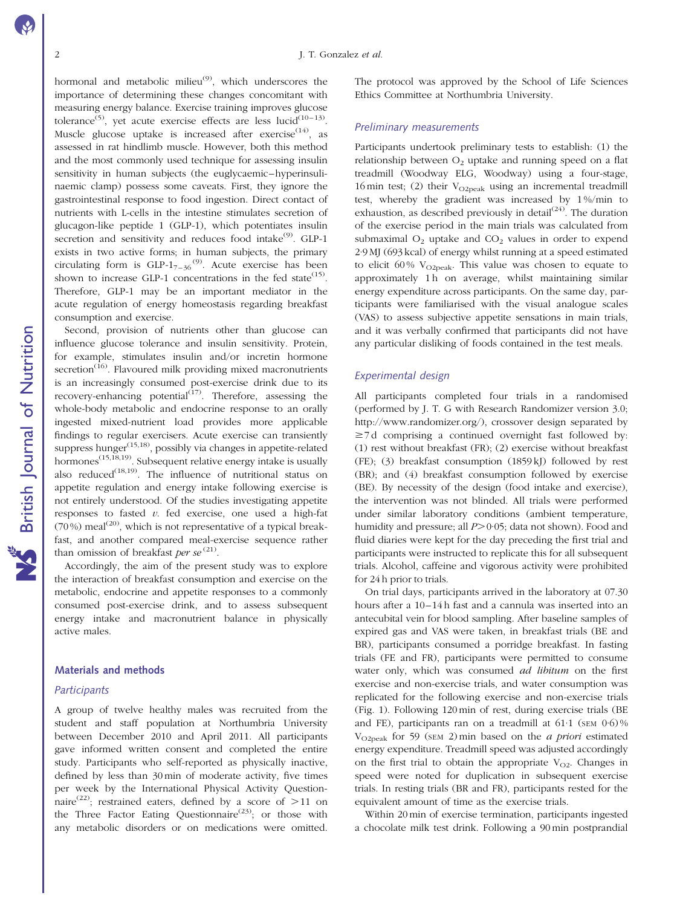hormonal and metabolic milieu $^{(9)}$ , which underscores the importance of determining these changes concomitant with measuring energy balance. Exercise training improves glucose tolerance<sup>(5)</sup>, yet acute exercise effects are less lucid<sup>(10-13)</sup>. Muscle glucose uptake is increased after exercise<sup> $(14)$ </sup>, as assessed in rat hindlimb muscle. However, both this method and the most commonly used technique for assessing insulin sensitivity in human subjects (the euglycaemic–hyperinsulinaemic clamp) possess some caveats. First, they ignore the gastrointestinal response to food ingestion. Direct contact of nutrients with L-cells in the intestine stimulates secretion of glucagon-like peptide 1 (GLP-1), which potentiates insulin secretion and sensitivity and reduces food intake<sup>(9)</sup>. GLP-1 exists in two active forms; in human subjects, the primary circulating form is  $GLP-1_{7-36}^{(9)}$ . Acute exercise has been shown to increase GLP-1 concentrations in the fed state<sup>(15)</sup>. Therefore, GLP-1 may be an important mediator in the acute regulation of energy homeostasis regarding breakfast consumption and exercise.

Second, provision of nutrients other than glucose can influence glucose tolerance and insulin sensitivity. Protein, for example, stimulates insulin and/or incretin hormone secretion $\overline{16}$ . Flavoured milk providing mixed macronutrients is an increasingly consumed post-exercise drink due to its recovery-enhancing potential $\lim_{n \to \infty}$  Therefore, assessing the whole-body metabolic and endocrine response to an orally ingested mixed-nutrient load provides more applicable findings to regular exercisers. Acute exercise can transiently suppress hunger $(15,18)$ , possibly via changes in appetite-related hormones $^{(15,18,19)}$ . Subsequent relative energy intake is usually also reduced<sup> $(18,19)$ </sup>. The influence of nutritional status on appetite regulation and energy intake following exercise is not entirely understood. Of the studies investigating appetite responses to fasted  $v$ . fed exercise, one used a high-fat (70%) meal<sup>(20)</sup>, which is not representative of a typical breakfast, and another compared meal-exercise sequence rather than omission of breakfast per se<sup> $(21)$ </sup>.

Accordingly, the aim of the present study was to explore the interaction of breakfast consumption and exercise on the metabolic, endocrine and appetite responses to a commonly consumed post-exercise drink, and to assess subsequent energy intake and macronutrient balance in physically active males.

#### Materials and methods

#### **Participants**

A group of twelve healthy males was recruited from the student and staff population at Northumbria University between December 2010 and April 2011. All participants gave informed written consent and completed the entire study. Participants who self-reported as physically inactive, defined by less than 30 min of moderate activity, five times per week by the International Physical Activity Questionnaire<sup>(22)</sup>; restrained eaters, defined by a score of  $>11$  on the Three Factor Eating Questionnaire<sup>(23)</sup>; or those with any metabolic disorders or on medications were omitted. The protocol was approved by the School of Life Sciences Ethics Committee at Northumbria University.

#### Preliminary measurements

Participants undertook preliminary tests to establish: (1) the relationship between  $O<sub>2</sub>$  uptake and running speed on a flat treadmill (Woodway ELG, Woodway) using a four-stage, 16 min test; (2) their  $V_{O2peak}$  using an incremental treadmill test, whereby the gradient was increased by 1 %/min to exhaustion, as described previously in detail $(24)$ . The duration of the exercise period in the main trials was calculated from submaximal  $O_2$  uptake and  $CO_2$  values in order to expend 2·9 MJ (693 kcal) of energy whilst running at a speed estimated to elicit 60%  $V_{O2peak}$ . This value was chosen to equate to approximately 1 h on average, whilst maintaining similar energy expenditure across participants. On the same day, participants were familiarised with the visual analogue scales (VAS) to assess subjective appetite sensations in main trials, and it was verbally confirmed that participants did not have any particular disliking of foods contained in the test meals.

#### Experimental design

All participants completed four trials in a randomised (performed by J. T. G with Research Randomizer version 3.0; http://www.randomizer.org/), crossover design separated by  $\geq$ 7 d comprising a continued overnight fast followed by: (1) rest without breakfast (FR); (2) exercise without breakfast (FE); (3) breakfast consumption (1859 kJ) followed by rest (BR); and (4) breakfast consumption followed by exercise (BE). By necessity of the design (food intake and exercise), the intervention was not blinded. All trials were performed under similar laboratory conditions (ambient temperature, humidity and pressure; all  $P > 0.05$ ; data not shown). Food and fluid diaries were kept for the day preceding the first trial and participants were instructed to replicate this for all subsequent trials. Alcohol, caffeine and vigorous activity were prohibited for 24 h prior to trials.

On trial days, participants arrived in the laboratory at 07.30 hours after a 10–14 h fast and a cannula was inserted into an antecubital vein for blood sampling. After baseline samples of expired gas and VAS were taken, in breakfast trials (BE and BR), participants consumed a porridge breakfast. In fasting trials (FE and FR), participants were permitted to consume water only, which was consumed *ad libitum* on the first exercise and non-exercise trials, and water consumption was replicated for the following exercise and non-exercise trials [\(Fig. 1](#page-3-0)). Following 120 min of rest, during exercise trials (BE and FE), participants ran on a treadmill at  $61.1$  (SEM  $0.6$ )%  $V_{\text{O2peak}}$  for 59 (sem 2) min based on the *a priori* estimated energy expenditure. Treadmill speed was adjusted accordingly on the first trial to obtain the appropriate  $V_{O2}$ . Changes in speed were noted for duplication in subsequent exercise trials. In resting trials (BR and FR), participants rested for the equivalent amount of time as the exercise trials.

Within 20 min of exercise termination, participants ingested a chocolate milk test drink. Following a 90 min postprandial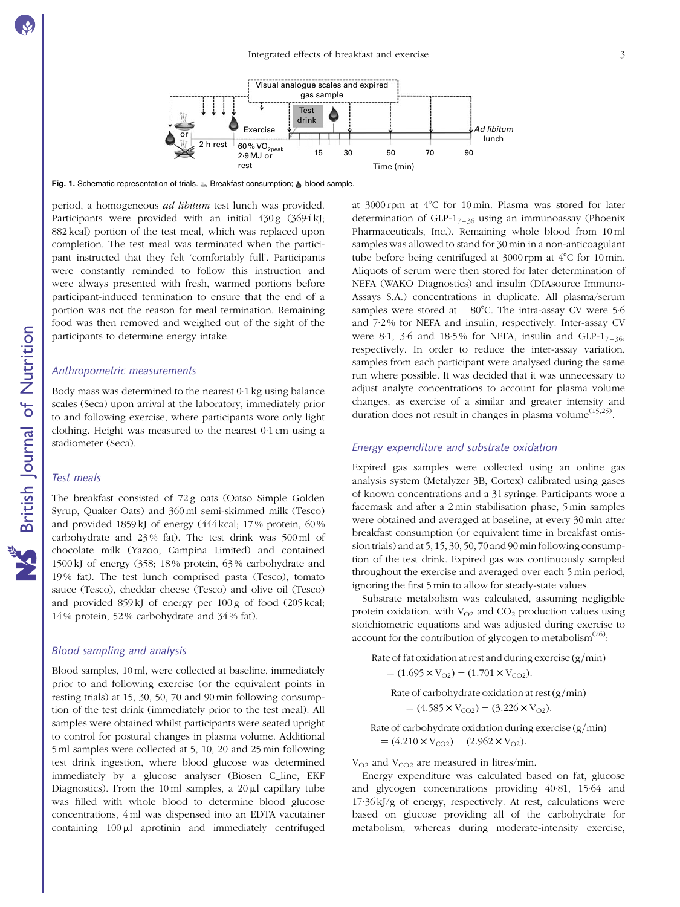<span id="page-3-0"></span>

Fig. 1. Schematic representation of trials. .., Breakfast consumption; .., blood sample.

period, a homogeneous ad libitum test lunch was provided. Participants were provided with an initial 430 g (3694 kJ; 882 kcal) portion of the test meal, which was replaced upon completion. The test meal was terminated when the participant instructed that they felt 'comfortably full'. Participants were constantly reminded to follow this instruction and were always presented with fresh, warmed portions before participant-induced termination to ensure that the end of a portion was not the reason for meal termination. Remaining food was then removed and weighed out of the sight of the participants to determine energy intake.

#### Anthropometric measurements

Body mass was determined to the nearest 0·1 kg using balance scales (Seca) upon arrival at the laboratory, immediately prior to and following exercise, where participants wore only light clothing. Height was measured to the nearest 0·1 cm using a stadiometer (Seca).

#### Test meals

The breakfast consisted of 72 g oats (Oatso Simple Golden Syrup, Quaker Oats) and 360 ml semi-skimmed milk (Tesco) and provided 1859 kJ of energy (444 kcal; 17 % protein, 60 % carbohydrate and 23 % fat). The test drink was 500 ml of chocolate milk (Yazoo, Campina Limited) and contained 1500 kJ of energy (358; 18 % protein, 63 % carbohydrate and 19 % fat). The test lunch comprised pasta (Tesco), tomato sauce (Tesco), cheddar cheese (Tesco) and olive oil (Tesco) and provided 859 kJ of energy per 100 g of food (205 kcal; 14 % protein, 52 % carbohydrate and 34 % fat).

#### Blood sampling and analysis

Blood samples, 10 ml, were collected at baseline, immediately prior to and following exercise (or the equivalent points in resting trials) at 15, 30, 50, 70 and 90 min following consumption of the test drink (immediately prior to the test meal). All samples were obtained whilst participants were seated upright to control for postural changes in plasma volume. Additional 5 ml samples were collected at 5, 10, 20 and 25 min following test drink ingestion, where blood glucose was determined immediately by a glucose analyser (Biosen C\_line, EKF Diagnostics). From the 10 ml samples, a  $20 \mu l$  capillary tube was filled with whole blood to determine blood glucose concentrations, 4 ml was dispensed into an EDTA vacutainer containing  $100 \mu l$  aprotinin and immediately centrifuged

at 3000 rpm at 4°C for 10 min. Plasma was stored for later determination of GLP-1 $_{7-36}$  using an immunoassay (Phoenix Pharmaceuticals, Inc.). Remaining whole blood from 10 ml samples was allowed to stand for 30 min in a non-anticoagulant tube before being centrifuged at  $3000$  rpm at  $4^{\circ}$ C for 10 min. Aliquots of serum were then stored for later determination of NEFA (WAKO Diagnostics) and insulin (DIAsource Immuno-Assays S.A.) concentrations in duplicate. All plasma/serum samples were stored at  $-80^{\circ}$ C. The intra-assay CV were 5.6 and 7·2 % for NEFA and insulin, respectively. Inter-assay CV were 8.1, 3.6 and 18.5% for NEFA, insulin and GLP- $1_{7-36}$ , respectively. In order to reduce the inter-assay variation, samples from each participant were analysed during the same run where possible. It was decided that it was unnecessary to adjust analyte concentrations to account for plasma volume changes, as exercise of a similar and greater intensity and duration does not result in changes in plasma volume<sup> $(15,25)$ </sup>.

#### Energy expenditure and substrate oxidation

Expired gas samples were collected using an online gas analysis system (Metalyzer 3B, Cortex) calibrated using gases of known concentrations and a 31 syringe. Participants wore a facemask and after a 2 min stabilisation phase, 5 min samples were obtained and averaged at baseline, at every 30 min after breakfast consumption (or equivalent time in breakfast omission trials) and at 5, 15, 30, 50, 70 and 90 min following consumption of the test drink. Expired gas was continuously sampled throughout the exercise and averaged over each 5 min period, ignoring the first 5 min to allow for steady-state values.

Substrate metabolism was calculated, assuming negligible protein oxidation, with  $V_{O2}$  and  $CO<sub>2</sub>$  production values using stoichiometric equations and was adjusted during exercise to account for the contribution of glycogen to metabolism $^{(26)}$ :

Rate of fat oxidation at rest and during exercise  $(g/\text{min})$ 

$$
= (1.695 \times V_{O2}) - (1.701 \times V_{CO2}).
$$

Rate of carbohydrate oxidation at rest  $(g/min)$ 

 $= (4.585 \times V_{CO2}) - (3.226 \times V_{O2}).$ 

Rate of carbohydrate oxidation during exercise  $(g/\text{min})$  $= (4.210 \times V_{CO2}) - (2.962 \times V_{O2}).$ 

 $V_{O2}$  and  $V_{CO2}$  are measured in litres/min.

Energy expenditure was calculated based on fat, glucose and glycogen concentrations providing 40·81, 15·64 and  $17.36 \text{ kJ/g}$  of energy, respectively. At rest, calculations were based on glucose providing all of the carbohydrate for metabolism, whereas during moderate-intensity exercise,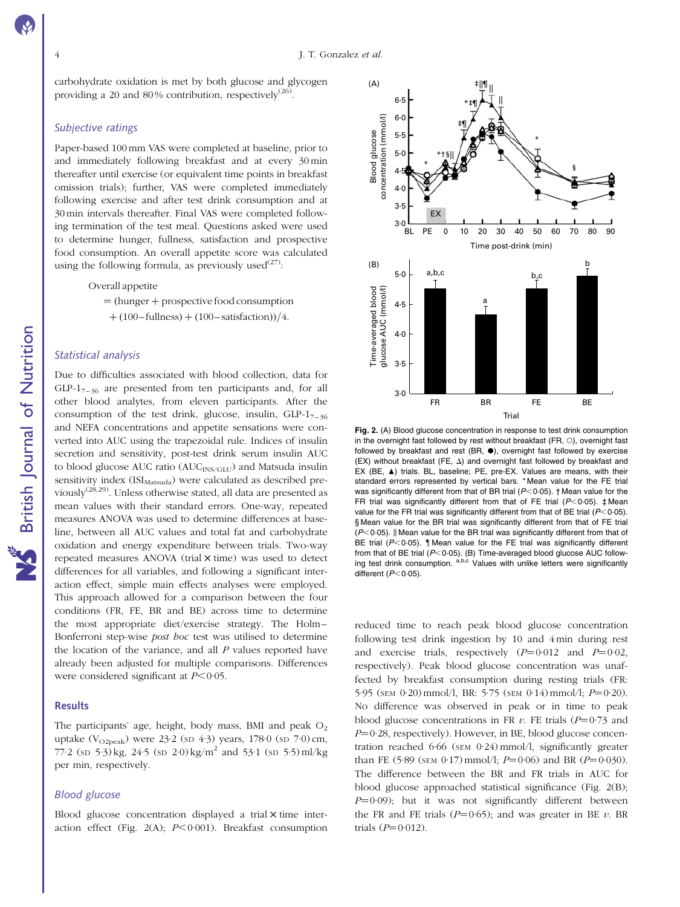carbohydrate oxidation is met by both glucose and glycogen providing a 20 and 80% contribution, respectively<sup>(26)</sup>.

#### Subjective ratings

Paper-based 100 mm VAS were completed at baseline, prior to and immediately following breakfast and at every 30 min thereafter until exercise (or equivalent time points in breakfast omission trials); further, VAS were completed immediately following exercise and after test drink consumption and at 30 min intervals thereafter. Final VAS were completed following termination of the test meal. Questions asked were used to determine hunger, fullness, satisfaction and prospective food consumption. An overall appetite score was calculated using the following formula, as previously used $(27)$ :

Overall appetite

 $=$  (hunger  $+$  prospective food consumption

 $+(100-fullness)+(100-satisfactor)/(4.$ 

#### Statistical analysis

Due to difficulties associated with blood collection, data for  $GLP-1_{7-36}$  are presented from ten participants and, for all other blood analytes, from eleven participants. After the consumption of the test drink, glucose, insulin,  $GLP-1_{7-36}$ and NEFA concentrations and appetite sensations were converted into AUC using the trapezoidal rule. Indices of insulin secretion and sensitivity, post-test drink serum insulin AUC to blood glucose AUC ratio (AUC<sub>INS/GLU</sub>) and Matsuda insulin sensitivity index  $(ISI<sub>Matsuda</sub>)$  were calculated as described previously(28,29). Unless otherwise stated, all data are presented as mean values with their standard errors. One-way, repeated measures ANOVA was used to determine differences at baseline, between all AUC values and total fat and carbohydrate oxidation and energy expenditure between trials. Two-way repeated measures ANOVA (trial  $\times$  time) was used to detect differences for all variables, and following a significant interaction effect, simple main effects analyses were employed. This approach allowed for a comparison between the four conditions (FR, FE, BR and BE) across time to determine the most appropriate diet/exercise strategy. The Holm– Bonferroni step-wise post hoc test was utilised to determine the location of the variance, and all  $P$  values reported have already been adjusted for multiple comparisons. Differences were considered significant at  $P < 0.05$ .

#### Results

The participants' age, height, body mass, BMI and peak  $O<sub>2</sub>$ uptake (V<sub>O2peak</sub>) were 23·2 (sp 4·3) years,  $178.0$  (sp  $7.0$ ) cm, 77·2 (sp  $5·3$ ) kg,  $24·5$  (sp  $2·0$ ) kg/m<sup>2</sup> and  $53·1$  (sp  $5·5$ ) ml/kg per min, respectively.

#### Blood glucose

Blood glucose concentration displayed a trial  $\times$  time interaction effect (Fig. 2(A);  $P < 0.001$ ). Breakfast consumption



Fig. 2. (A) Blood glucose concentration in response to test drink consumption in the overnight fast followed by rest without breakfast (FR,  $\circ$ ), overnight fast followed by breakfast and rest (BR,  $\bullet$ ), overnight fast followed by exercise  $(EX)$  without breakfast (FE,  $\Delta$ ) and overnight fast followed by breakfast and EX (BE, A) trials. BL, baseline; PE, pre-EX. Values are means, with their standard errors represented by vertical bars. \* Mean value for the FE trial was significantly different from that of BR trial ( $P$ <0.05). † Mean value for the FR trial was significantly different from that of FE trial ( $P$ <0.05).  $\pm$ Mean value for the FR trial was significantly different from that of BE trial  $(P<0.05)$ . § Mean value for the BR trial was significantly different from that of FE trial  $($ P $<$ 0 $\cdot$ 05). If Mean value for the BR trial was significantly different from that of BE trial ( $P<0.05$ ). | Mean value for the FE trial was significantly different from that of BE trial ( $P$ <0.05). (B) Time-averaged blood glucose AUC following test drink consumption. a,b,c Values with unlike letters were significantly different  $(P<0.05)$ .

reduced time to reach peak blood glucose concentration following test drink ingestion by 10 and 4 min during rest and exercise trials, respectively  $(P=0.012$  and  $P=0.02$ , respectively). Peak blood glucose concentration was unaffected by breakfast consumption during resting trials (FR: 5.95 (SEM 0.20) mmol/l, BR: 5.75 (SEM 0.14) mmol/l;  $P=0.20$ ). No difference was observed in peak or in time to peak blood glucose concentrations in FR v. FE trials  $(P=0.73$  and  $P=0.28$ , respectively). However, in BE, blood glucose concentration reached 6·66 (SEM 0·24) mmol/l, significantly greater than FE (5·89 (SEM 0·17) mmol/l;  $P=0.06$ ) and BR ( $P=0.030$ ). The difference between the BR and FR trials in AUC for blood glucose approached statistical significance (Fig. 2(B);  $P=0.09$ ); but it was not significantly different between the FR and FE trials ( $P=0.65$ ); and was greater in BE v. BR trials  $(P=0.012)$ .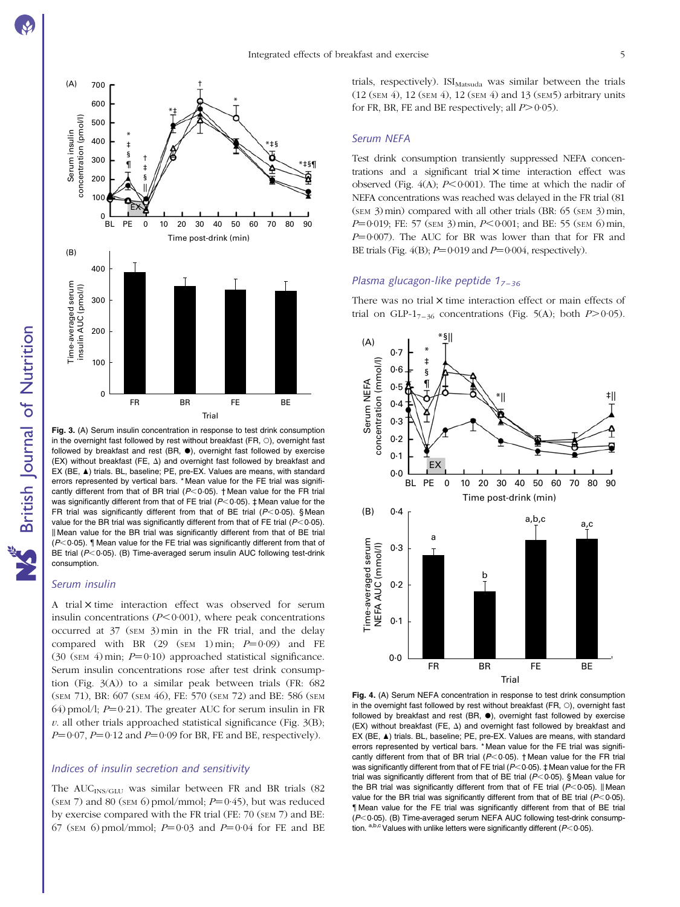

in the overnight fast followed by rest without breakfast (FR,  $\circ$ ), overnight fast followed by breakfast and rest (BR,  $\bullet$ ), overnight fast followed by exercise  $(EX)$  without breakfast (FE,  $\Delta$ ) and overnight fast followed by breakfast and EX (BE, A) trials. BL, baseline; PE, pre-EX. Values are means, with standard errors represented by vertical bars. \* Mean value for the FE trial was significantly different from that of BR trial ( $P<0.05$ ). † Mean value for the FR trial was significantly different from that of FE trial ( $P<0.05$ ).  $\ddagger$  Mean value for the FR trial was significantly different from that of BE trial  $(P < 0.05)$ . § Mean value for the BR trial was significantly different from that of FE trial ( $P<0.05$ ). Il Mean value for the BR trial was significantly different from that of BE trial  $(P<0.05)$ . I Mean value for the FE trial was significantly different from that of BE trial  $(P<0.05)$ . (B) Time-averaged serum insulin AUC following test-drink consumption.

#### Serum insulin

A trial  $\times$  time interaction effect was observed for serum insulin concentrations  $(P<0.001)$ , where peak concentrations occurred at 37 (SEM 3) min in the FR trial, and the delay compared with BR  $(29 \text{ (SEM 1) min}; P=0.09)$  and FE (30 (SEM 4) min;  $P=0.10$ ) approached statistical significance. Serum insulin concentrations rose after test drink consumption (Fig. 3(A)) to a similar peak between trials (FR: 682 (SEM 71), BR: 607 (SEM 46), FE: 570 (SEM 72) and BE: 586 (SEM 64) pmol/l;  $P=0.21$ ). The greater AUC for serum insulin in FR  $v$ . all other trials approached statistical significance (Fig.  $3(B)$ ;  $P=0.07$ ,  $P=0.12$  and  $P=0.09$  for BR, FE and BE, respectively).

#### Indices of insulin secretion and sensitivity

The  $AUC_{INS/GLU}$  was similar between FR and BR trials (82 (SEM 7) and 80 (SEM 6) pmol/mmol;  $P=0.45$ ), but was reduced by exercise compared with the FR trial (FE: 70 (SEM 7) and BE: 67 (SEM 6) pmol/mmol;  $P=0.03$  and  $P=0.04$  for FE and BE trials, respectively). ISI<sub>Matsuda</sub> was similar between the trials (12 (SEM 4), 12 (SEM 4), 12 (SEM 4) and 13 (SEM5) arbitrary units for FR, BR, FE and BE respectively; all  $P > 0.05$ ).

#### Serum NEFA

Test drink consumption transiently suppressed NEFA concentrations and a significant trial  $\times$  time interaction effect was observed (Fig.  $4(A)$ :  $P<0.001$ ). The time at which the nadir of NEFA concentrations was reached was delayed in the FR trial (81 (SEM 3)min) compared with all other trials (BR: 65 (SEM 3)min,  $P=0.019$ ; FE: 57 (SEM 3) min,  $P<0.001$ ; and BE: 55 (SEM 6) min,  $P=0.007$ ). The AUC for BR was lower than that for FR and BE trials (Fig.  $4(B)$ ;  $P=0.019$  and  $P=0.004$ , respectively).

#### Plasma glucagon-like peptide  $1_{7-36}$

There was no trial  $\times$  time interaction effect or main effects of trial on GLP-1<sub>7–36</sub> concentrations ([Fig. 5\(A\);](#page-6-0) both  $P>0.05$ ).



Fig. 4. (A) Serum NEFA concentration in response to test drink consumption in the overnight fast followed by rest without breakfast  $(FR, \bigcirc)$ , overnight fast followed by breakfast and rest (BR,  $\bullet$ ), overnight fast followed by exercise  $(EX)$  without breakfast (FE,  $\Delta$ ) and overnight fast followed by breakfast and EX (BE,  $\blacktriangle$ ) trials. BL, baseline; PE, pre-EX. Values are means, with standard errors represented by vertical bars. \* Mean value for the FE trial was significantly different from that of BR trial ( $P$ <0.05). † Mean value for the FR trial was significantly different from that of FE trial ( $P$ <0.05).  $\ddagger$  Mean value for the FR trial was significantly different from that of BE trial ( $P$ <0.05). § Mean value for the BR trial was significantly different from that of FE trial ( $P<0.05$ ). || Mean value for the BR trial was significantly different from that of BE trial  $(P<0.05)$ . { Mean value for the FE trial was significantly different from that of BE trial  $(P<0.05)$ . (B) Time-averaged serum NEFA AUC following test-drink consumption.  $a,b,c$  Values with unlike letters were significantly different ( $P<0.05$ ).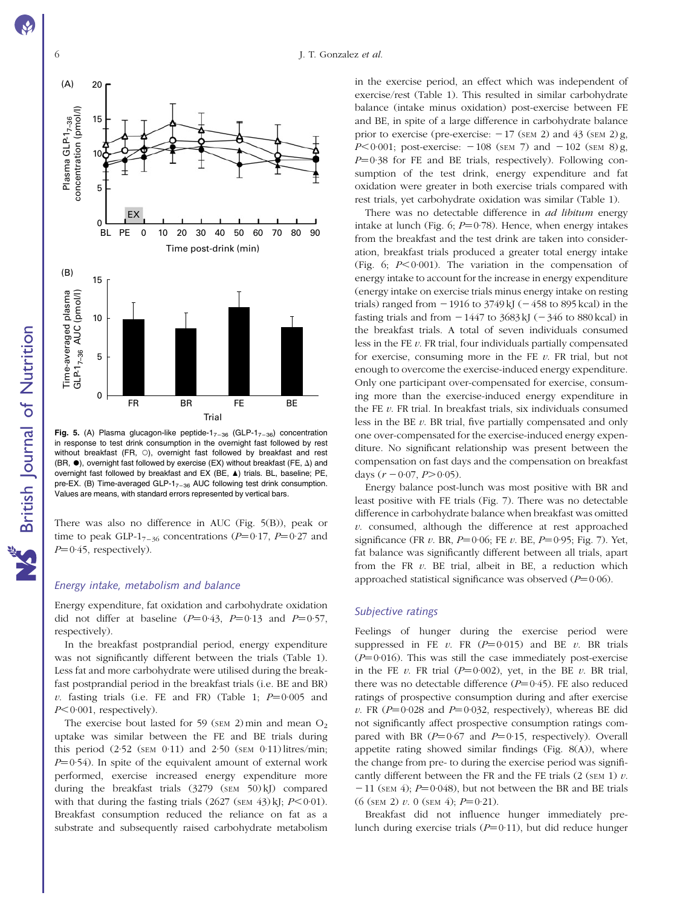<span id="page-6-0"></span>



Fig. 5. (A) Plasma glucagon-like peptide- $1_{7-36}$  (GLP- $1_{7-36}$ ) concentration in response to test drink consumption in the overnight fast followed by rest without breakfast (FR,  $\circ$ ), overnight fast followed by breakfast and rest (BR,  $\bullet$ ), overnight fast followed by exercise (EX) without breakfast (FE,  $\Delta$ ) and overnight fast followed by breakfast and EX (BE,  $\blacktriangle$ ) trials. BL, baseline; PE, pre-EX. (B) Time-averaged GLP-1 $_{7-36}$  AUC following test drink consumption. Values are means, with standard errors represented by vertical bars.

There was also no difference in AUC (Fig. 5(B)), peak or time to peak GLP-1<sub>7–36</sub> concentrations ( $P=0.17$ ,  $P=0.27$  and  $P=0.45$ , respectively).

#### Energy intake, metabolism and balance

Energy expenditure, fat oxidation and carbohydrate oxidation did not differ at baseline ( $P=0.43$ ,  $P=0.13$  and  $P=0.57$ , respectively).

In the breakfast postprandial period, energy expenditure was not significantly different between the trials [\(Table 1](#page-7-0)). Less fat and more carbohydrate were utilised during the breakfast postprandial period in the breakfast trials (i.e. BE and BR) v. fasting trials (i.e. FE and FR) ([Table 1](#page-7-0);  $P=0.005$  and  $P<0.001$ , respectively).

The exercise bout lasted for 59 ( $\text{SEM}$  2) min and mean  $\text{O}_2$ uptake was similar between the FE and BE trials during this period  $(2.52 \text{ (SEM 0.11) and } 2.50 \text{ (SEM 0.11)}$  litres/min;  $P=0.54$ ). In spite of the equivalent amount of external work performed, exercise increased energy expenditure more during the breakfast trials  $(3279 \text{ (SEM } 50) \text{ kJ})$  compared with that during the fasting trials  $(2627 \text{ (SEM } 43) \text{ kJ}; P \leq 0.01)$ . Breakfast consumption reduced the reliance on fat as a substrate and subsequently raised carbohydrate metabolism

in the exercise period, an effect which was independent of exercise/rest [\(Table 1\)](#page-7-0). This resulted in similar carbohydrate balance (intake minus oxidation) post-exercise between FE and BE, in spite of a large difference in carbohydrate balance prior to exercise (pre-exercise:  $-17$  (sem 2) and 43 (sem 2) g,  $P<0.001$ ; post-exercise:  $-108$  (SEM 7) and  $-102$  (SEM 8) g,  $P=0.38$  for FE and BE trials, respectively). Following consumption of the test drink, energy expenditure and fat oxidation were greater in both exercise trials compared with rest trials, yet carbohydrate oxidation was similar ([Table 1](#page-7-0)).

There was no detectable difference in *ad libitum* energy intake at lunch ([Fig. 6](#page-8-0);  $P=0.78$ ). Hence, when energy intakes from the breakfast and the test drink are taken into consideration, breakfast trials produced a greater total energy intake [\(Fig. 6](#page-8-0);  $P < 0.001$ ). The variation in the compensation of energy intake to account for the increase in energy expenditure (energy intake on exercise trials minus energy intake on resting trials) ranged from  $-1916$  to 3749 kJ ( $-458$  to 895 kcal) in the fasting trials and from  $-1447$  to  $3683 \text{ kJ}$  ( $-346$  to 880 kcal) in the breakfast trials. A total of seven individuals consumed less in the FE  $v$ . FR trial, four individuals partially compensated for exercise, consuming more in the FE  $\nu$ . FR trial, but not enough to overcome the exercise-induced energy expenditure. Only one participant over-compensated for exercise, consuming more than the exercise-induced energy expenditure in the FE  $v$ . FR trial. In breakfast trials, six individuals consumed less in the BE  $v$ . BR trial, five partially compensated and only one over-compensated for the exercise-induced energy expenditure. No significant relationship was present between the compensation on fast days and the compensation on breakfast days  $(r - 0.07, P > 0.05)$ .

Energy balance post-lunch was most positive with BR and least positive with FE trials ([Fig. 7](#page-8-0)). There was no detectable difference in carbohydrate balance when breakfast was omitted  $v$ . consumed, although the difference at rest approached significance (FR  $v$ . BR,  $P=0.06$ ; FE  $v$ . BE,  $P=0.95$ ; [Fig. 7\)](#page-8-0). Yet, fat balance was significantly different between all trials, apart from the FR  $v$ . BE trial, albeit in BE, a reduction which approached statistical significance was observed  $(P=0.06)$ .

### Subjective ratings

Feelings of hunger during the exercise period were suppressed in FE v. FR  $(P=0.015)$  and BE v. BR trials  $(P=0.016)$ . This was still the case immediately post-exercise in the FE v. FR trial  $(P=0.002)$ , yet, in the BE v. BR trial, there was no detectable difference  $(P=0.45)$ . FE also reduced ratings of prospective consumption during and after exercise v. FR ( $P=0.028$  and  $P=0.032$ , respectively), whereas BE did not significantly affect prospective consumption ratings compared with BR ( $P=0.67$  and  $P=0.15$ , respectively). Overall appetite rating showed similar findings [\(Fig. 8\(A\)](#page-9-0)), where the change from pre- to during the exercise period was significantly different between the FR and the FE trials  $(2 \text{ (SEM 1)} v$ .  $-11$  (SEM 4); P=0.048), but not between the BR and BE trials  $(6$  (SEM 2) v. 0 (SEM 4);  $P=0.21$ ).

Breakfast did not influence hunger immediately prelunch during exercise trials  $(P=0.11)$ , but did reduce hunger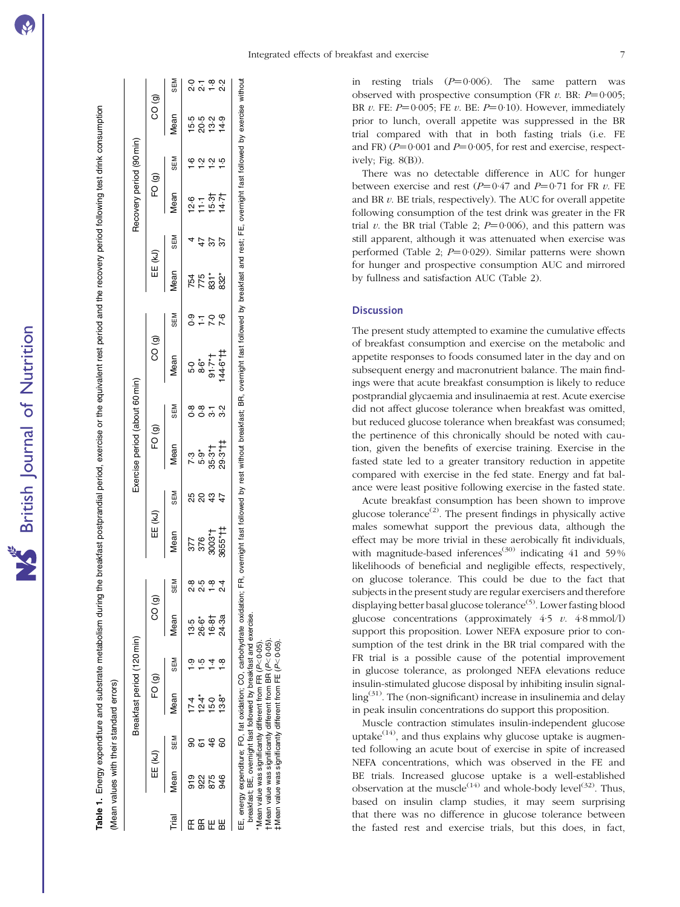Table 1. Energy expenditure and substrate metabolism during the breakfast postprandial period, exercise or the equivalent rest period and the recovery period following test drink consumption

Energy expenditure and substrate metabolism during the breakfast postprandial period, exercise or the equivalent rest period and the recovery period following test drink consumption

<span id="page-7-0"></span>

|             |                               |            | Mean values with their standard errors) |            |                                        |                   |                                 |     |                                |                     |                                 |                |                     |             |                                           |               |                                        |                    |
|-------------|-------------------------------|------------|-----------------------------------------|------------|----------------------------------------|-------------------|---------------------------------|-----|--------------------------------|---------------------|---------------------------------|----------------|---------------------|-------------|-------------------------------------------|---------------|----------------------------------------|--------------------|
|             |                               |            | Breakfast period (120 min)              |            |                                        |                   |                                 |     | Exercise period (about 60 min) |                     |                                 |                |                     |             | Recovery period (90 min)                  |               |                                        |                    |
|             | EE (kJ)                       |            | FO (g)                                  |            | CO <sub>(g)</sub>                      | I                 | EE (kJ)                         |     | FO <sub>(g)</sub>              |                     | CO (g)                          |                | EE (kJ)             |             | FO <sub>(g)</sub>                         |               | CO(9)                                  |                    |
| īrial       | <b>Aean</b>                   | <b>NES</b> | <b>Mean</b>                             | <b>SEM</b> | Mean                                   | <b>SEM</b>        | Mean                            | SEM | Mean                           | <b>NES</b>          | <b>Mean</b>                     | <b>NES</b>     | lean                | <b>NI3S</b> | <b>Vean</b>                               | <b>SEM</b>    | <b>Mean</b>                            | SEM                |
| 뜐           |                               |            |                                         |            |                                        | œ                 |                                 |     |                                |                     |                                 |                |                     |             |                                           | $\frac{6}{1}$ |                                        |                    |
| $E_{\rm H}$ |                               | 67         |                                         | ن<br>و     |                                        | гÒ<br>$\sim$      |                                 |     |                                |                     |                                 | $\frac{5}{10}$ |                     |             |                                           | $\ddot{ }$    |                                        |                    |
|             | 9 2 3 3<br>9 2 3 4<br>9 2 9 3 | 46         | けかかい<br>キュウ g<br>キュウ g                  | 4          | 5 % \$ \$<br>5 % \$ \$ \$<br>5 % \$ \$ | ထ္                |                                 |     |                                | ∞∞ ← ∾<br>o o ෆ் ෆ் |                                 | $\overline{C}$ | 754<br>75 32<br>832 | 57          | $6 - 77$<br>$2 - 6$<br>$2 - 6$<br>$2 - 4$ | $\ddot{ }$    | 15 05 11 11<br>15 05 11 11<br>15 10 11 | 0 + 8 0<br>0 0 + 8 |
|             |                               | 8          |                                         |            |                                        | $\mathbf{\Omega}$ | 377<br>376<br>3003*†<br>3655*†† |     |                                |                     | 11,914<br>11,98<br>10<br>10,914 | 7.6            |                     | 57          |                                           | <u>ي</u>      |                                        |                    |
|             |                               |            |                                         |            |                                        |                   |                                 |     |                                |                     |                                 |                |                     |             |                                           |               |                                        |                    |

EE, energy expenditure; FO, fat oxidation; CO, carbohydrate oxidation; FR, overnight fast followed by rest without breakfast; BR, overnight fast followed by breakfast and rest; FE, overnight fast followed by exercise without

\* Mean value was significantly different from FR ( $P$ <0.05).

 $\dagger$  Mean value was significantly different from BR ( $P$ <0.05).  $\ddagger$  Mean value was significantly different from FE ( $P$ <0.05).

energy expenditure; FO, fat oxidation; CO, carbohydrate oxidation; FR, overnight fast followed by rest without breakfast; BR, overnight fast followed by breakfast and rest; FE, overnight fast followed by exercise without breakfast; BE, overnight fast followed by breakfast and exercise.<br>\* Mean value was significantly different from FR (P<0.05).<br>† Mean value was significantly different from BR (P<0.05).<br>‡ Mean value was significantly differ breakfast; BE, overnight fast followed by breakfast and exercise.

in resting trials  $(P=0.006)$ . The same pattern was observed with prospective consumption (FR  $v$ . BR:  $P=0.005$ ; BR  $v$ . FE:  $P=0.005$ ; FE  $v$ . BE:  $P=0.10$ ). However, immediately prior to lunch, overall appetite was suppressed in the BR trial compared with that in both fasting trials (i.e. FE and FR)  $(P=0.001$  and  $P=0.005$ , for rest and exercise, respectively; [Fig. 8\(B\)\)](#page-9-0).

There was no detectable difference in AUC for hunger between exercise and rest  $(P=0.47$  and  $P=0.71$  for FR v. FE and BR  $v$ . BE trials, respectively). The AUC for overall appetite following consumption of the test drink was greater in the FR trial v. the BR trial ([Table 2;](#page-10-0)  $P=0.006$ ), and this pattern was still apparent, although it was attenuated when exercise was performed [\(Table 2;](#page-10-0) P=0·029). Similar patterns were shown for hunger and prospective consumption AUC and mirrored by fullness and satisfaction AUC [\(Table 2\)](#page-10-0).

#### **Discussion**

The present study attempted to examine the cumulative effects of breakfast consumption and exercise on the metabolic and appetite responses to foods consumed later in the day and on subsequent energy and macronutrient balance. The main findings were that acute breakfast consumption is likely to reduce postprandial glycaemia and insulinaemia at rest. Acute exercise did not affect glucose tolerance when breakfast was omitted, but reduced glucose tolerance when breakfast was consumed; the pertinence of this chronically should be noted with caution, given the benefits of exercise training. Exercise in the fasted state led to a greater transitory reduction in appetite compared with exercise in the fed state. Energy and fat balance were least positive following exercise in the fasted state.

Acute breakfast consumption has been shown to improve glucose tolerance<sup> $(2)$ </sup>. The present findings in physically active males somewhat support the previous data, although the effect may be more trivial in these aerobically fit individuals, with magnitude-based inferences<sup>(30)</sup> indicating 41 and 59% likelihoods of beneficial and negligible effects, respectively, on glucose tolerance. This could be due to the fact that subjects in the present study are regular exercisers and therefore displaying better basal glucose tolerance<sup>(5)</sup>. Lower fasting blood glucose concentrations (approximately  $4.5$   $v$ .  $4.8$  mmol/l) support this proposition. Lower NEFA exposure prior to consumption of the test drink in the BR trial compared with the FR trial is a possible cause of the potential improvement in glucose tolerance, as prolonged NEFA elevations reduce insulin-stimulated glucose disposal by inhibiting insulin signalling(31). The (non-significant) increase in insulinemia and delay in peak insulin concentrations do support this proposition.

Muscle contraction stimulates insulin-independent glucose uptake<sup> $(14)$ </sup>, and thus explains why glucose uptake is augmented following an acute bout of exercise in spite of increased NEFA concentrations, which was observed in the FE and BE trials. Increased glucose uptake is a well-established observation at the muscle<sup>(14)</sup> and whole-body level<sup>(32)</sup>. Thus, based on insulin clamp studies, it may seem surprising that there was no difference in glucose tolerance between the fasted rest and exercise trials, but this does, in fact,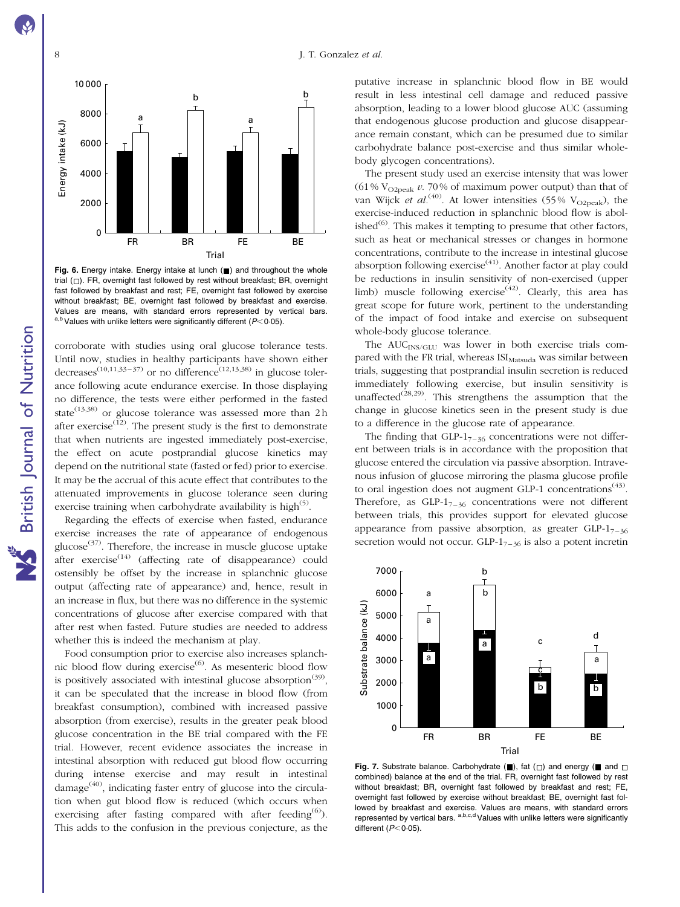<span id="page-8-0"></span>

Fig. 6. Energy intake. Energy intake at lunch  $(\blacksquare)$  and throughout the whole trial  $(\Box)$ . FR, overnight fast followed by rest without breakfast; BR, overnight fast followed by breakfast and rest; FE, overnight fast followed by exercise without breakfast; BE, overnight fast followed by breakfast and exercise. Values are means, with standard errors represented by vertical bars. a,b Values with unlike letters were significantly different ( $P$ < 0.05).

corroborate with studies using oral glucose tolerance tests. Until now, studies in healthy participants have shown either decreases<sup>(10,11,33–37)</sup> or no difference<sup>(12,13,38)</sup> in glucose tolerance following acute endurance exercise. In those displaying no difference, the tests were either performed in the fasted state<sup>(13,38)</sup> or glucose tolerance was assessed more than  $2h$ after exercise $\overline{12}$ . The present study is the first to demonstrate that when nutrients are ingested immediately post-exercise, the effect on acute postprandial glucose kinetics may depend on the nutritional state (fasted or fed) prior to exercise. It may be the accrual of this acute effect that contributes to the attenuated improvements in glucose tolerance seen during exercise training when carbohydrate availability is high<sup>(5)</sup>.

Regarding the effects of exercise when fasted, endurance exercise increases the rate of appearance of endogenous glucose<sup>(37)</sup>. Therefore, the increase in muscle glucose uptake after exercise $(14)$  (affecting rate of disappearance) could ostensibly be offset by the increase in splanchnic glucose output (affecting rate of appearance) and, hence, result in an increase in flux, but there was no difference in the systemic concentrations of glucose after exercise compared with that after rest when fasted. Future studies are needed to address whether this is indeed the mechanism at play.

Food consumption prior to exercise also increases splanchnic blood flow during exercise<sup>(6)</sup>. As mesenteric blood flow is positively associated with intestinal glucose absorption<sup>(39)</sup>, it can be speculated that the increase in blood flow (from breakfast consumption), combined with increased passive absorption (from exercise), results in the greater peak blood glucose concentration in the BE trial compared with the FE trial. However, recent evidence associates the increase in intestinal absorption with reduced gut blood flow occurring during intense exercise and may result in intestinal  $\text{d}a\text{mag}^{(40)}$ , indicating faster entry of glucose into the circulation when gut blood flow is reduced (which occurs when exercising after fasting compared with after feeding<sup>(6)</sup>). This adds to the confusion in the previous conjecture, as the

putative increase in splanchnic blood flow in BE would result in less intestinal cell damage and reduced passive absorption, leading to a lower blood glucose AUC (assuming that endogenous glucose production and glucose disappearance remain constant, which can be presumed due to similar carbohydrate balance post-exercise and thus similar wholebody glycogen concentrations).

The present study used an exercise intensity that was lower (61%  $V_{O2peak}$  v. 70% of maximum power output) than that of van Wijck *et al.*<sup>(40)</sup>. At lower intensities (55% V<sub>O2peak</sub>), the exercise-induced reduction in splanchnic blood flow is abolished $^{(6)}$ . This makes it tempting to presume that other factors, such as heat or mechanical stresses or changes in hormone concentrations, contribute to the increase in intestinal glucose absorption following exercise<sup> $(41)$ </sup>. Another factor at play could be reductions in insulin sensitivity of non-exercised (upper limb) muscle following exercise<sup> $(42)$ </sup>. Clearly, this area has great scope for future work, pertinent to the understanding of the impact of food intake and exercise on subsequent whole-body glucose tolerance.

The AUC<sub>INS/GLU</sub> was lower in both exercise trials compared with the FR trial, whereas  $ISI_{Matsuda}$  was similar between trials, suggesting that postprandial insulin secretion is reduced immediately following exercise, but insulin sensitivity is unaffected<sup>(28,29)</sup>. This strengthens the assumption that the change in glucose kinetics seen in the present study is due to a difference in the glucose rate of appearance.

The finding that  $GLP-1_{7-36}$  concentrations were not different between trials is in accordance with the proposition that glucose entered the circulation via passive absorption. Intravenous infusion of glucose mirroring the plasma glucose profile to oral ingestion does not augment GLP-1 concentrations<sup>(43)</sup>. Therefore, as  $GLP-1_{7-36}$  concentrations were not different between trials, this provides support for elevated glucose appearance from passive absorption, as greater  $GLP-1_{7-36}$ secretion would not occur. GLP- $1_{7-36}$  is also a potent incretin



Fig. 7. Substrate balance. Carbohydrate  $(\blacksquare)$ , fat  $(\square)$  and energy ( $\blacksquare$  and  $\square$ combined) balance at the end of the trial. FR, overnight fast followed by rest without breakfast; BR, overnight fast followed by breakfast and rest; FE, overnight fast followed by exercise without breakfast; BE, overnight fast followed by breakfast and exercise. Values are means, with standard errors represented by vertical bars.  $a,b,c,d$  Values with unlike letters were significantly different  $(P<0.05)$ .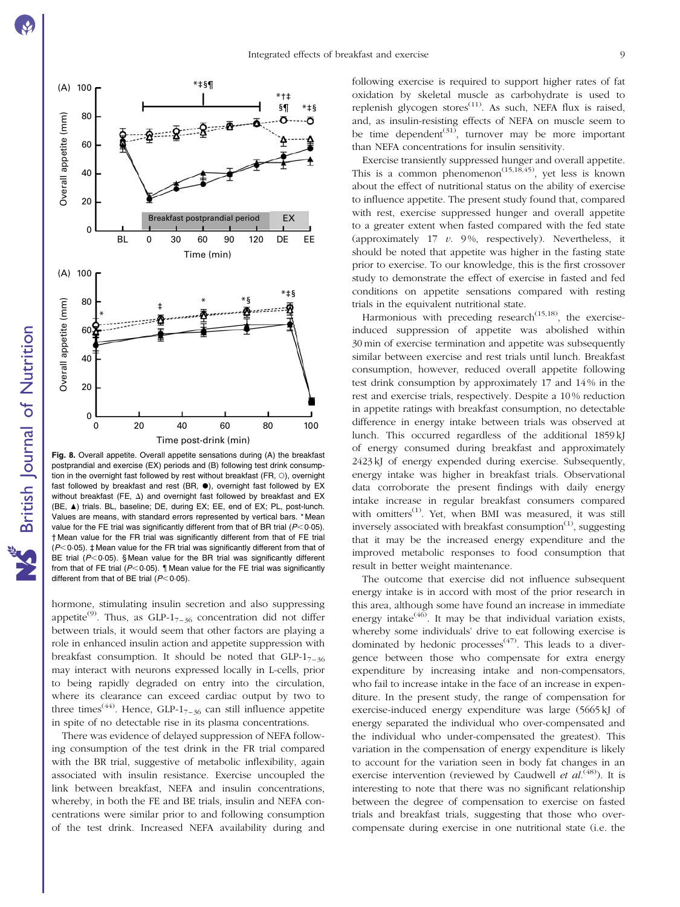<span id="page-9-0"></span>

Fig. 8. Overall appetite. Overall appetite sensations during (A) the breakfast postprandial and exercise (EX) periods and (B) following test drink consumption in the overnight fast followed by rest without breakfast (FR,  $\circ$ ), overnight fast followed by breakfast and rest (BR,  $\bullet$ ), overnight fast followed by EX without breakfast (FE,  $\Delta$ ) and overnight fast followed by breakfast and EX (BE,  $\blacktriangle$ ) trials. BL, baseline; DE, during EX; EE, end of EX; PL, post-lunch. Values are means, with standard errors represented by vertical bars. \* Mean value for the FE trial was significantly different from that of BR trial ( $P<0.05$ ). † Mean value for the FR trial was significantly different from that of FE trial  $(P<0.05)$ .  $\ddagger$  Mean value for the FR trial was significantly different from that of BE trial ( $P<0.05$ ). § Mean value for the BR trial was significantly different from that of FE trial ( $P<0.05$ ). I Mean value for the FE trial was significantly different from that of BE trial  $(P<0.05)$ .

hormone, stimulating insulin secretion and also suppressing appetite<sup>(9)</sup>. Thus, as GLP-1<sub>7-36</sub> concentration did not differ between trials, it would seem that other factors are playing a role in enhanced insulin action and appetite suppression with breakfast consumption. It should be noted that  $GLP-1_{7-36}$ may interact with neurons expressed locally in L-cells, prior to being rapidly degraded on entry into the circulation, where its clearance can exceed cardiac output by two to three times<sup>(44)</sup>. Hence, GLP-1<sub>7–36</sub> can still influence appetite in spite of no detectable rise in its plasma concentrations.

There was evidence of delayed suppression of NEFA following consumption of the test drink in the FR trial compared with the BR trial, suggestive of metabolic inflexibility, again associated with insulin resistance. Exercise uncoupled the link between breakfast, NEFA and insulin concentrations, whereby, in both the FE and BE trials, insulin and NEFA concentrations were similar prior to and following consumption of the test drink. Increased NEFA availability during and

following exercise is required to support higher rates of fat oxidation by skeletal muscle as carbohydrate is used to replenish glycogen stores<sup> $(11)$ </sup>. As such, NEFA flux is raised, and, as insulin-resisting effects of NEFA on muscle seem to be time dependent<sup>(31)</sup>, turnover may be more important than NEFA concentrations for insulin sensitivity.

Exercise transiently suppressed hunger and overall appetite. This is a common phenomenon<sup> $(15,18,45)$ </sup>, yet less is known about the effect of nutritional status on the ability of exercise to influence appetite. The present study found that, compared with rest, exercise suppressed hunger and overall appetite to a greater extent when fasted compared with the fed state (approximately  $17$  v.  $9\%$ , respectively). Nevertheless, it should be noted that appetite was higher in the fasting state prior to exercise. To our knowledge, this is the first crossover study to demonstrate the effect of exercise in fasted and fed conditions on appetite sensations compared with resting trials in the equivalent nutritional state.

Harmonious with preceding research<sup> $(15,18)$ </sup>, the exerciseinduced suppression of appetite was abolished within 30 min of exercise termination and appetite was subsequently similar between exercise and rest trials until lunch. Breakfast consumption, however, reduced overall appetite following test drink consumption by approximately 17 and 14 % in the rest and exercise trials, respectively. Despite a 10 % reduction in appetite ratings with breakfast consumption, no detectable difference in energy intake between trials was observed at lunch. This occurred regardless of the additional 1859 kJ of energy consumed during breakfast and approximately 2423 kJ of energy expended during exercise. Subsequently, energy intake was higher in breakfast trials. Observational data corroborate the present findings with daily energy intake increase in regular breakfast consumers compared with omitters<sup>(1)</sup>. Yet, when BMI was measured, it was still inversely associated with breakfast consumption $<sup>(1)</sup>$ , suggesting</sup> that it may be the increased energy expenditure and the improved metabolic responses to food consumption that result in better weight maintenance.

The outcome that exercise did not influence subsequent energy intake is in accord with most of the prior research in this area, although some have found an increase in immediate energy intake $(46)$ . It may be that individual variation exists, whereby some individuals' drive to eat following exercise is dominated by hedonic processes<sup> $(47)$ </sup>. This leads to a divergence between those who compensate for extra energy expenditure by increasing intake and non-compensators, who fail to increase intake in the face of an increase in expenditure. In the present study, the range of compensation for exercise-induced energy expenditure was large (5665 kJ of energy separated the individual who over-compensated and the individual who under-compensated the greatest). This variation in the compensation of energy expenditure is likely to account for the variation seen in body fat changes in an exercise intervention (reviewed by Caudwell et  $al^{(48)}$ ). It is interesting to note that there was no significant relationship between the degree of compensation to exercise on fasted trials and breakfast trials, suggesting that those who overcompensate during exercise in one nutritional state (i.e. the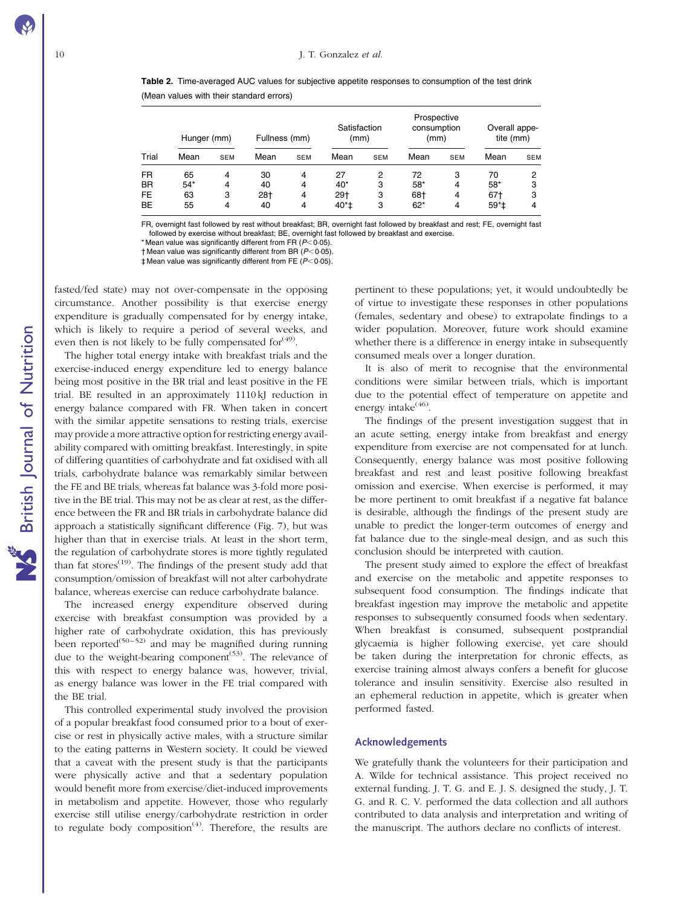<span id="page-10-0"></span>Table 2. Time-averaged AUC values for subjective appetite responses to consumption of the test drink (Mean values with their standard errors)

|                                            | Hunger (mm)             |                  | Fullness (mm)         |                  | Satisfaction<br>(mm)         |                  | Prospective<br>consumption<br>(mm) |                  | Overall appe-<br>tite (mm)  |                  |
|--------------------------------------------|-------------------------|------------------|-----------------------|------------------|------------------------------|------------------|------------------------------------|------------------|-----------------------------|------------------|
| Trial                                      | Mean                    | <b>SEM</b>       | Mean                  | <b>SEM</b>       | Mean                         | <b>SEM</b>       | Mean                               | <b>SEM</b>       | Mean                        | <b>SEM</b>       |
| <b>FR</b><br><b>BR</b><br>FE.<br><b>BE</b> | 65<br>$54*$<br>63<br>55 | 4<br>4<br>3<br>4 | 30<br>40<br>28†<br>40 | 4<br>4<br>4<br>4 | 27<br>$40*$<br>$29+$<br>40*‡ | 2<br>3<br>3<br>3 | 72<br>$58*$<br>68†<br>$62*$        | з<br>4<br>4<br>4 | 70<br>$58*$<br>67†<br>$59*$ | 2<br>3<br>3<br>4 |

FR, overnight fast followed by rest without breakfast; BR, overnight fast followed by breakfast and rest; FE, overnight fast followed by exercise without breakfast; BE, overnight fast followed by breakfast and exercise.

\* Mean value was significantly different from FR ( $P < 0.05$ ).

 $\dagger$  Mean value was significantly different from BR ( $P$ < 0.05).

 $\ddagger$  Mean value was significantly different from FE ( $P$ <0.05).

fasted/fed state) may not over-compensate in the opposing circumstance. Another possibility is that exercise energy expenditure is gradually compensated for by energy intake, which is likely to require a period of several weeks, and even then is not likely to be fully compensated for  $(49)$ .

The higher total energy intake with breakfast trials and the exercise-induced energy expenditure led to energy balance being most positive in the BR trial and least positive in the FE trial. BE resulted in an approximately 1110 kJ reduction in energy balance compared with FR. When taken in concert with the similar appetite sensations to resting trials, exercise may provide a more attractive option for restricting energy availability compared with omitting breakfast. Interestingly, in spite of differing quantities of carbohydrate and fat oxidised with all trials, carbohydrate balance was remarkably similar between the FE and BE trials, whereas fat balance was 3-fold more positive in the BE trial. This may not be as clear at rest, as the difference between the FR and BR trials in carbohydrate balance did approach a statistically significant difference ([Fig. 7\)](#page-8-0), but was higher than that in exercise trials. At least in the short term, the regulation of carbohydrate stores is more tightly regulated than fat stores<sup> $(19)$ </sup>. The findings of the present study add that consumption/omission of breakfast will not alter carbohydrate balance, whereas exercise can reduce carbohydrate balance.

The increased energy expenditure observed during exercise with breakfast consumption was provided by a higher rate of carbohydrate oxidation, this has previously been reported<sup>(50–52)</sup> and may be magnified during running due to the weight-bearing component<sup> $(53)$ </sup>. The relevance of this with respect to energy balance was, however, trivial, as energy balance was lower in the FE trial compared with the BE trial.

This controlled experimental study involved the provision of a popular breakfast food consumed prior to a bout of exercise or rest in physically active males, with a structure similar to the eating patterns in Western society. It could be viewed that a caveat with the present study is that the participants were physically active and that a sedentary population would benefit more from exercise/diet-induced improvements in metabolism and appetite. However, those who regularly exercise still utilise energy/carbohydrate restriction in order to regulate body composition<sup> $(4)$ </sup>. Therefore, the results are

pertinent to these populations; yet, it would undoubtedly be of virtue to investigate these responses in other populations (females, sedentary and obese) to extrapolate findings to a wider population. Moreover, future work should examine whether there is a difference in energy intake in subsequently consumed meals over a longer duration.

It is also of merit to recognise that the environmental conditions were similar between trials, which is important due to the potential effect of temperature on appetite and energy intake $(46)$ .

The findings of the present investigation suggest that in an acute setting, energy intake from breakfast and energy expenditure from exercise are not compensated for at lunch. Consequently, energy balance was most positive following breakfast and rest and least positive following breakfast omission and exercise. When exercise is performed, it may be more pertinent to omit breakfast if a negative fat balance is desirable, although the findings of the present study are unable to predict the longer-term outcomes of energy and fat balance due to the single-meal design, and as such this conclusion should be interpreted with caution.

The present study aimed to explore the effect of breakfast and exercise on the metabolic and appetite responses to subsequent food consumption. The findings indicate that breakfast ingestion may improve the metabolic and appetite responses to subsequently consumed foods when sedentary. When breakfast is consumed, subsequent postprandial glycaemia is higher following exercise, yet care should be taken during the interpretation for chronic effects, as exercise training almost always confers a benefit for glucose tolerance and insulin sensitivity. Exercise also resulted in an ephemeral reduction in appetite, which is greater when performed fasted.

#### Acknowledgements

We gratefully thank the volunteers for their participation and A. Wilde for technical assistance. This project received no external funding. J. T. G. and E. J. S. designed the study, J. T. G. and R. C. V. performed the data collection and all authors contributed to data analysis and interpretation and writing of the manuscript. The authors declare no conflicts of interest.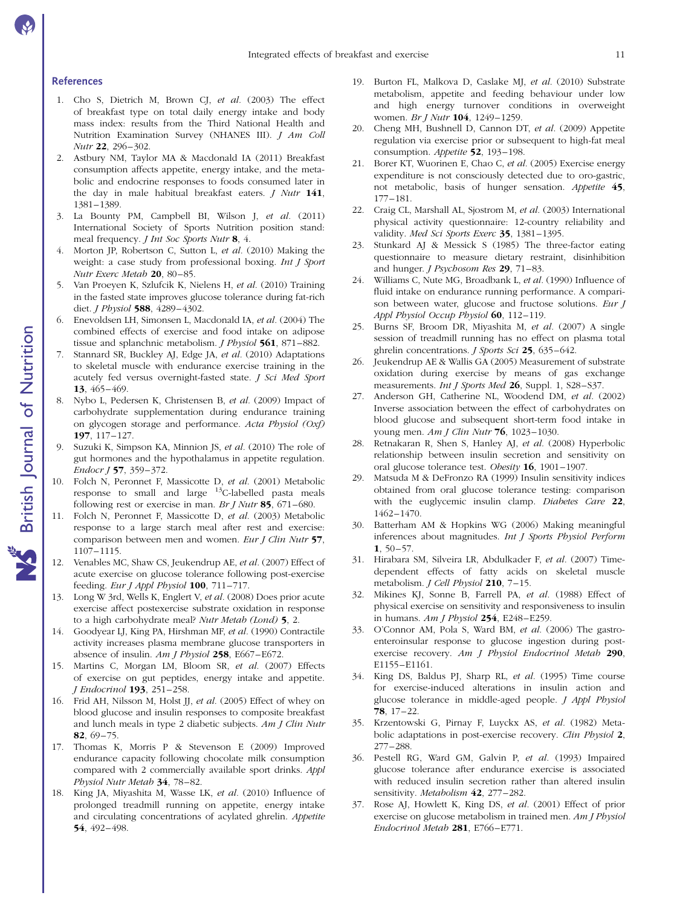#### References

- 1. Cho S, Dietrich M, Brown CJ, et al. (2003) The effect of breakfast type on total daily energy intake and body mass index: results from the Third National Health and Nutrition Examination Survey (NHANES III). *J Am Coll* Nutr 22, 296–302.
- 2. Astbury NM, Taylor MA & Macdonald IA (2011) Breakfast consumption affects appetite, energy intake, and the metabolic and endocrine responses to foods consumed later in the day in male habitual breakfast eaters. J Nutr 141, 1381–1389.
- 3. La Bounty PM, Campbell BI, Wilson J, et al. (2011) International Society of Sports Nutrition position stand: meal frequency. J Int Soc Sports Nutr 8, 4.
- Morton JP, Robertson C, Sutton L, et al. (2010) Making the weight: a case study from professional boxing. Int J Sport Nutr Exerc Metab 20, 80–85.
- 5. Van Proeyen K, Szlufcik K, Nielens H, et al. (2010) Training in the fasted state improves glucose tolerance during fat-rich diet. J Physiol 588, 4289–4302.
- 6. Enevoldsen LH, Simonsen L, Macdonald IA, et al. (2004) The combined effects of exercise and food intake on adipose tissue and splanchnic metabolism. *J Physiol* 561, 871–882.
- 7. Stannard SR, Buckley AJ, Edge JA, et al. (2010) Adaptations to skeletal muscle with endurance exercise training in the acutely fed versus overnight-fasted state. J Sci Med Sport 13, 465–469.
- 8. Nybo L, Pedersen K, Christensen B, et al. (2009) Impact of carbohydrate supplementation during endurance training on glycogen storage and performance. Acta Physiol (Oxf) 197, 117–127.
- 9. Suzuki K, Simpson KA, Minnion JS, et al. (2010) The role of gut hormones and the hypothalamus in appetite regulation. Endocr J 57, 359–372.
- 10. Folch N, Peronnet F, Massicotte D, et al. (2001) Metabolic response to small and large  $13C$ -labelled pasta meals following rest or exercise in man. Br *J Nutr* 85,  $671-680$ .
- 11. Folch N, Peronnet F, Massicotte D, et al. (2003) Metabolic response to a large starch meal after rest and exercise: comparison between men and women. Eur J Clin Nutr 57, 1107–1115.
- 12. Venables MC, Shaw CS, Jeukendrup AE, et al. (2007) Effect of acute exercise on glucose tolerance following post-exercise feeding. Eur J Appl Physiol  $100$ ,  $711-717$ .
- 13. Long W 3rd, Wells K, Englert V, et al. (2008) Does prior acute exercise affect postexercise substrate oxidation in response to a high carbohydrate meal? Nutr Metab (Lond) 5, 2.
- 14. Goodyear LJ, King PA, Hirshman MF, et al. (1990) Contractile activity increases plasma membrane glucose transporters in absence of insulin. Am J Physiol  $258$ , E667–E672.
- 15. Martins C, Morgan LM, Bloom SR, et al. (2007) Effects of exercise on gut peptides, energy intake and appetite. J Endocrinol 193, 251–258.
- 16. Frid AH, Nilsson M, Holst JJ, et al. (2005) Effect of whey on blood glucose and insulin responses to composite breakfast and lunch meals in type 2 diabetic subjects. Am J Clin Nutr 82, 69–75.
- 17. Thomas K, Morris P & Stevenson E (2009) Improved endurance capacity following chocolate milk consumption compared with 2 commercially available sport drinks. Appl Physiol Nutr Metab 34, 78–82.
- 18. King JA, Miyashita M, Wasse LK, et al. (2010) Influence of prolonged treadmill running on appetite, energy intake and circulating concentrations of acylated ghrelin. Appetite 54, 492–498.
- 19. Burton FL, Malkova D, Caslake MJ, et al. (2010) Substrate metabolism, appetite and feeding behaviour under low and high energy turnover conditions in overweight women. Br J Nutr 104, 1249-1259.
- 20. Cheng MH, Bushnell D, Cannon DT, et al. (2009) Appetite regulation via exercise prior or subsequent to high-fat meal consumption. Appetite 52, 193-198.
- 21. Borer KT, Wuorinen E, Chao C, et al. (2005) Exercise energy expenditure is not consciously detected due to oro-gastric, not metabolic, basis of hunger sensation. Appetite 45, 177–181.
- 22. Craig CL, Marshall AL, Sjostrom M, et al. (2003) International physical activity questionnaire: 12-country reliability and validity. Med Sci Sports Exerc 35, 1381-1395.
- 23. Stunkard AJ & Messick S (1985) The three-factor eating questionnaire to measure dietary restraint, disinhibition and hunger. *J Psychosom Res* 29, 71-83.
- 24. Williams C, Nute MG, Broadbank L, et al. (1990) Influence of fluid intake on endurance running performance. A comparison between water, glucose and fructose solutions. Eur J Appl Physiol Occup Physiol 60, 112-119.
- 25. Burns SF, Broom DR, Miyashita M, et al. (2007) A single session of treadmill running has no effect on plasma total ghrelin concentrations. *J Sports Sci* 25, 635–642.
- 26. Jeukendrup AE & Wallis GA (2005) Measurement of substrate oxidation during exercise by means of gas exchange measurements. Int J Sports Med 26, Suppl. 1, S28-S37.
- 27. Anderson GH, Catherine NL, Woodend DM, et al. (2002) Inverse association between the effect of carbohydrates on blood glucose and subsequent short-term food intake in young men. Am J Clin Nutr **76**, 1023-1030.
- 28. Retnakaran R, Shen S, Hanley AJ, et al. (2008) Hyperbolic relationship between insulin secretion and sensitivity on oral glucose tolerance test. Obesity 16, 1901-1907.
- 29. Matsuda M & DeFronzo RA (1999) Insulin sensitivity indices obtained from oral glucose tolerance testing: comparison with the euglycemic insulin clamp. Diabetes Care 22, 1462–1470.
- 30. Batterham AM & Hopkins WG (2006) Making meaningful inferences about magnitudes. Int J Sports Physiol Perform  $1, 50 - 57.$
- 31. Hirabara SM, Silveira LR, Abdulkader F, et al. (2007) Timedependent effects of fatty acids on skeletal muscle metabolism. *J Cell Physiol* 210, 7-15.
- 32. Mikines KJ, Sonne B, Farrell PA, et al. (1988) Effect of physical exercise on sensitivity and responsiveness to insulin in humans.  $Am J$  Physiol  $254$ , E248-E259.
- 33. O'Connor AM, Pola S, Ward BM, et al. (2006) The gastroenteroinsular response to glucose ingestion during postexercise recovery. Am J Physiol Endocrinol Metab 290, E1155–E1161.
- 34. King DS, Baldus PJ, Sharp RL, et al. (1995) Time course for exercise-induced alterations in insulin action and glucose tolerance in middle-aged people. J Appl Physiol 78, 17–22.
- 35. Krzentowski G, Pirnay F, Luyckx AS, et al. (1982) Metabolic adaptations in post-exercise recovery. Clin Physiol 2, 277–288.
- 36. Pestell RG, Ward GM, Galvin P, et al. (1993) Impaired glucose tolerance after endurance exercise is associated with reduced insulin secretion rather than altered insulin sensitivity. Metabolism 42, 277-282.
- 37. Rose AJ, Howlett K, King DS, et al. (2001) Effect of prior exercise on glucose metabolism in trained men. Am J Physiol Endocrinol Metab 281, E766–E771.